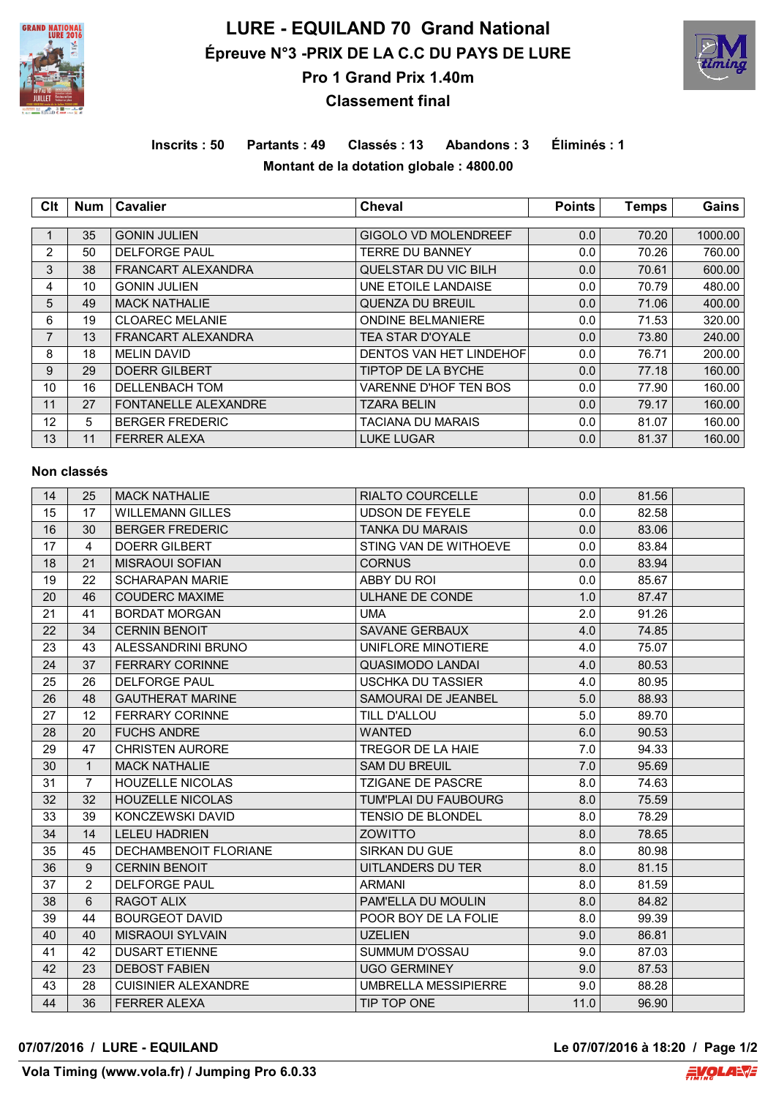

# **LURE - EQUILAND 70 Grand National Épreuve N°3 -PRIX DE LA C.C DU PAYS DE LURE Pro 1 Grand Prix 1.40m**



## **Classement final**

## **Inscrits : 50 Partants : 49 Classés : 13 Abandons : 3 Éliminés : 1 Montant de la dotation globale : 4800.00**

| Clt             | <b>Num</b> | <b>Cavalier</b>             | <b>Cheval</b>                  | <b>Points</b> | <b>Temps</b> | Gains   |  |
|-----------------|------------|-----------------------------|--------------------------------|---------------|--------------|---------|--|
|                 |            |                             |                                |               |              |         |  |
|                 | 35         | <b>GONIN JULIEN</b>         | <b>GIGOLO VD MOLENDREEF</b>    | 0.0           | 70.20        | 1000.00 |  |
| $\overline{2}$  | 50         | <b>DELFORGE PAUL</b>        | <b>TERRE DU BANNEY</b>         | 0.0           | 70.26        | 760.00  |  |
| 3               | 38         | <b>FRANCART ALEXANDRA</b>   | QUELSTAR DU VIC BILH           | 0.0           | 70.61        | 600.00  |  |
| 4               | 10         | <b>GONIN JULIEN</b>         | UNE ETOILE LANDAISE            | 0.0           | 70.79        | 480.00  |  |
| 5               | 49         | <b>MACK NATHALIE</b>        | <b>QUENZA DU BREUIL</b>        | 0.0           | 71.06        | 400.00  |  |
| 6               | 19         | <b>CLOAREC MELANIE</b>      | <b>ONDINE BELMANIERE</b>       | 0.0           | 71.53        | 320.00  |  |
| $\overline{7}$  | 13         | FRANCART ALEXANDRA          | <b>TEA STAR D'OYALE</b>        | 0.0           | 73.80        | 240.00  |  |
| 8               | 18         | <b>MELIN DAVID</b>          | <b>DENTOS VAN HET LINDEHOF</b> | 0.0           | 76.71        | 200.00  |  |
| 9               | 29         | <b>DOERR GILBERT</b>        | TIPTOP DE LA BYCHE             | 0.0           | 77.18        | 160.00  |  |
| 10              | 16         | <b>DELLENBACH TOM</b>       | VARENNE D'HOF TEN BOS          | 0.0           | 77.90        | 160.00  |  |
| 11              | 27         | <b>FONTANELLE ALEXANDRE</b> | <b>TZARA BELIN</b>             | 0.0           | 79.17        | 160.00  |  |
| 12 <sup>2</sup> | 5          | <b>BERGER FREDERIC</b>      | TACIANA DU MARAIS              | 0.0           | 81.07        | 160.00  |  |
| 13              | 11         | <b>FERRER ALEXA</b>         | <b>LUKE LUGAR</b>              | 0.0           | 81.37        | 160.00  |  |

#### **Non classés**

| 14 | 25             | <b>MACK NATHALIE</b>       | <b>RIALTO COURCELLE</b>     | 0.0  | 81.56 |  |
|----|----------------|----------------------------|-----------------------------|------|-------|--|
| 15 | 17             | <b>WILLEMANN GILLES</b>    | <b>UDSON DE FEYELE</b>      | 0.0  | 82.58 |  |
| 16 | 30             | <b>BERGER FREDERIC</b>     | <b>TANKA DU MARAIS</b>      | 0.0  | 83.06 |  |
| 17 | $\overline{4}$ | <b>DOERR GILBERT</b>       | STING VAN DE WITHOEVE       | 0.0  | 83.84 |  |
| 18 | 21             | <b>MISRAOUI SOFIAN</b>     | <b>CORNUS</b>               | 0.0  | 83.94 |  |
| 19 | 22             | <b>SCHARAPAN MARIE</b>     | ABBY DU ROI                 | 0.0  | 85.67 |  |
| 20 | 46             | <b>COUDERC MAXIME</b>      | ULHANE DE CONDE             | 1.0  | 87.47 |  |
| 21 | 41             | <b>BORDAT MORGAN</b>       | <b>UMA</b>                  | 2.0  | 91.26 |  |
| 22 | 34             | <b>CERNIN BENOIT</b>       | SAVANE GERBAUX              | 4.0  | 74.85 |  |
| 23 | 43             | ALESSANDRINI BRUNO         | UNIFLORE MINOTIERE          | 4.0  | 75.07 |  |
| 24 | 37             | <b>FERRARY CORINNE</b>     | <b>QUASIMODO LANDAI</b>     | 4.0  | 80.53 |  |
| 25 | 26             | <b>DELFORGE PAUL</b>       | <b>USCHKA DU TASSIER</b>    | 4.0  | 80.95 |  |
| 26 | 48             | <b>GAUTHERAT MARINE</b>    | SAMOURAI DE JEANBEL         | 5.0  | 88.93 |  |
| 27 | 12             | <b>FERRARY CORINNE</b>     | TILL D'ALLOU                | 5.0  | 89.70 |  |
| 28 | 20             | <b>FUCHS ANDRE</b>         | <b>WANTED</b>               | 6.0  | 90.53 |  |
| 29 | 47             | <b>CHRISTEN AURORE</b>     | TREGOR DE LA HAIE           | 7.0  | 94.33 |  |
| 30 | $\mathbf{1}$   | <b>MACK NATHALIE</b>       | <b>SAM DU BREUIL</b>        | 7.0  | 95.69 |  |
| 31 | $\overline{7}$ | <b>HOUZELLE NICOLAS</b>    | <b>TZIGANE DE PASCRE</b>    | 8.0  | 74.63 |  |
| 32 | 32             | <b>HOUZELLE NICOLAS</b>    | <b>TUM'PLAI DU FAUBOURG</b> | 8.0  | 75.59 |  |
| 33 | 39             | KONCZEWSKI DAVID           | <b>TENSIO DE BLONDEL</b>    | 8.0  | 78.29 |  |
| 34 | 14             | <b>LELEU HADRIEN</b>       | <b>ZOWITTO</b>              | 8.0  | 78.65 |  |
| 35 | 45             | DECHAMBENOIT FLORIANE      | SIRKAN DU GUE               | 8.0  | 80.98 |  |
| 36 | 9              | <b>CERNIN BENOIT</b>       | UITLANDERS DU TER           | 8.0  | 81.15 |  |
| 37 | $\overline{2}$ | <b>DELFORGE PAUL</b>       | <b>ARMANI</b>               | 8.0  | 81.59 |  |
| 38 | 6              | <b>RAGOT ALIX</b>          | PAM'ELLA DU MOULIN          | 8.0  | 84.82 |  |
| 39 | 44             | <b>BOURGEOT DAVID</b>      | POOR BOY DE LA FOLIE        | 8.0  | 99.39 |  |
| 40 | 40             | <b>MISRAOUI SYLVAIN</b>    | <b>UZELIEN</b>              | 9.0  | 86.81 |  |
| 41 | 42             | <b>DUSART ETIENNE</b>      | SUMMUM D'OSSAU              | 9.0  | 87.03 |  |
| 42 | 23             | <b>DEBOST FABIEN</b>       | <b>UGO GERMINEY</b>         | 9.0  | 87.53 |  |
| 43 | 28             | <b>CUISINIER ALEXANDRE</b> | <b>UMBRELLA MESSIPIERRE</b> | 9.0  | 88.28 |  |
| 44 | 36             | <b>FERRER ALEXA</b>        | TIP TOP ONE                 | 11.0 | 96.90 |  |

### **07/07/2016 / LURE - EQUILAND Le 07/07/2016 à 18:20 / Page 1/2**